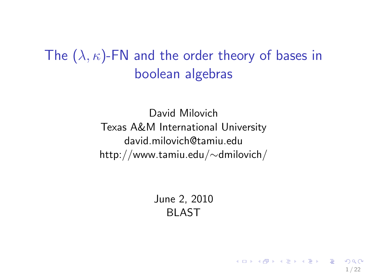# The  $(\lambda, \kappa)$ -FN and the order theory of bases in boolean algebras

David Milovich Texas A&M International University david.milovich@tamiu.edu http://www.tamiu.edu/∼dmilovich/

> June 2, 2010 BLAST

> > <span id="page-0-0"></span>1 / 22

K ロ X K @ X K 할 X K 할 X ( 할 X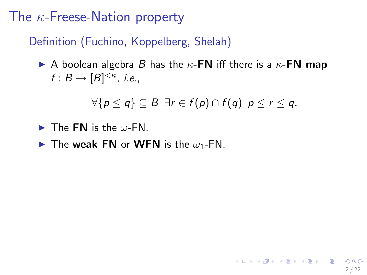# The  $\kappa$ -Freese-Nation property

#### Definition (Fuchino, Koppelberg, Shelah)

A boolean algebra B has the  $\kappa$ -FN iff there is a  $\kappa$ -FN map  $f: B \to [B]^{<\kappa}$ , i.e.,

$$
\forall \{p \leq q\} \subseteq B \; \exists r \in f(p) \cap f(q) \; p \leq r \leq q.
$$

- $\blacktriangleright$  The FN is the  $\omega$ -FN.
- $\blacktriangleright$  The weak FN or WFN is the  $\omega_1$ -FN.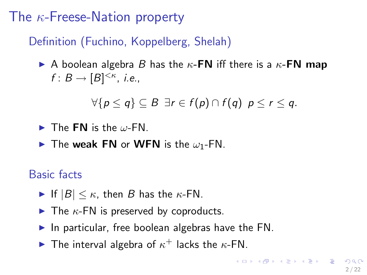# The  $\kappa$ -Freese-Nation property

### Definition (Fuchino, Koppelberg, Shelah)

A boolean algebra B has the  $\kappa$ -FN iff there is a  $\kappa$ -FN map  $f: B \to [B]^{<\kappa}$ , i.e.,

$$
\forall \{p \leq q\} \subseteq B \; \exists r \in f(p) \cap f(q) \; p \leq r \leq q.
$$

 $\blacktriangleright$  The FN is the  $\omega$ -FN.

 $\blacktriangleright$  The weak FN or WFN is the  $\omega_1$ -FN.

Basic facts

- If  $|B| \leq \kappa$ , then B has the  $\kappa$ -FN.
- $\blacktriangleright$  The  $\kappa$ -FN is preserved by coproducts.
- In particular, free boolean algebras have the  $FN$ .
- <span id="page-2-0"></span>The interval algebra of  $\kappa^+$  lacks the  $\kappa$ -FN.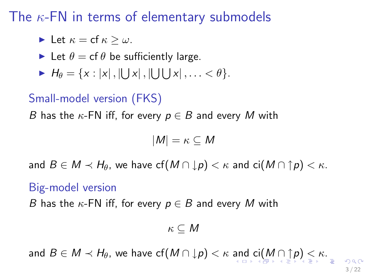The  $\kappa$ -FN in terms of elementary submodels

Let 
$$
\kappa = \text{cf } \kappa \geq \omega
$$
.

- Let  $\theta = \text{cf } \theta$  be sufficiently large.
- $H_{\theta} = \{x : |x|, |\bigcup x|, |\bigcup \bigcup x|, \ldots < \theta\}.$

#### Small-model version (FKS)

B has the  $\kappa$ -FN iff, for every  $p \in B$  and every M with

$$
|M|=\kappa\subseteq M
$$

and  $B \in M \prec H_\theta$ , we have  $cf(M \cap \downarrow p) < \kappa$  and  $ci(M \cap \uparrow p) < \kappa$ .

#### Big-model version

B has the  $\kappa$ -FN iff, for every  $p \in B$  and every M with

$$
\kappa\subseteq M
$$

[an](#page-2-0)[d](#page-4-0)  $B \in M \prec H_\theta$  $B \in M \prec H_\theta$  $B \in M \prec H_\theta$  $B \in M \prec H_\theta$  $B \in M \prec H_\theta$ , we have  $cf(M \cap \downarrow p) < \kappa$  $cf(M \cap \downarrow p) < \kappa$  $cf(M \cap \downarrow p) < \kappa$  $cf(M \cap \downarrow p) < \kappa$  $cf(M \cap \downarrow p) < \kappa$  $cf(M \cap \downarrow p) < \kappa$  $cf(M \cap \downarrow p) < \kappa$  and  $ci(M \cap \uparrow p) < \kappa$  $ci(M \cap \uparrow p) < \kappa$ .

<span id="page-3-0"></span>3 / 22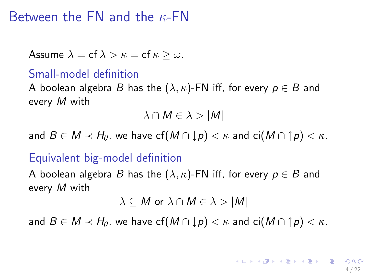## Between the FN and the  $\kappa$ -FN

Assume 
$$
\lambda = \text{cf } \lambda > \kappa = \text{cf } \kappa \geq \omega
$$
.

#### Small-model definition

A boolean algebra B has the  $(\lambda, \kappa)$ -FN iff, for every  $p \in B$  and every M with

 $\lambda \cap M \in \lambda > |M|$ 

and  $B \in M \prec H_\theta$ , we have  $cf(M \cap \downarrow p) < \kappa$  and  $ci(M \cap \uparrow p) < \kappa$ .

#### Equivalent big-model definition

A boolean algebra B has the  $(\lambda, \kappa)$ -FN iff, for every  $p \in B$  and every M with

<span id="page-4-0"></span>
$$
\lambda \subseteq M \text{ or } \lambda \cap M \in \lambda > |M|
$$

and  $B \in M \prec H_\theta$ , we have  $cf(M \cap \downarrow p) < \kappa$  and  $ci(M \cap \uparrow p) < \kappa$ .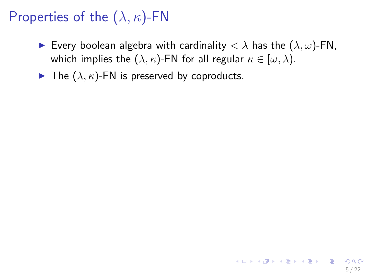# Properties of the  $(\lambda, \kappa)$ -FN

- Every boolean algebra with cardinality  $< \lambda$  has the  $(\lambda, \omega)$ -FN, which implies the  $(\lambda, \kappa)$ -FN for all regular  $\kappa \in [\omega, \lambda)$ .
- $\blacktriangleright$  The  $(\lambda, \kappa)$ -FN is preserved by coproducts.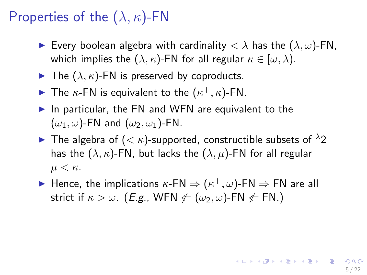# Properties of the  $(\lambda, \kappa)$ -FN

- Every boolean algebra with cardinality  $\langle \lambda \rangle$  has the  $(\lambda, \omega)$ -FN, which implies the  $(\lambda, \kappa)$ -FN for all regular  $\kappa \in [\omega, \lambda)$ .
- $\blacktriangleright$  The  $(\lambda, \kappa)$ -FN is preserved by coproducts.
- The  $\kappa$ -FN is equivalent to the  $(\kappa^+, \kappa)$ -FN.
- In particular, the FN and WFN are equivalent to the  $(\omega_1, \omega)$ -FN and  $(\omega_2, \omega_1)$ -FN.
- **If** The algebra of  $( $\kappa$ )-supported, constructible subsets of  $\lambda$ 2$ has the  $(\lambda, \kappa)$ -FN, but lacks the  $(\lambda, \mu)$ -FN for all regular  $\mu < \kappa$ .
- ► Hence, the implications  $\kappa$ -FN  $\Rightarrow$   $(\kappa^+, \omega)$ -FN  $\Rightarrow$  FN are all strict if  $\kappa > \omega$ . (*E.g.*, WFN  $\notin (\omega_2, \omega)$ -FN  $\notin$  FN.)

5 / 22

**KORK EX KEY A BY A GAA**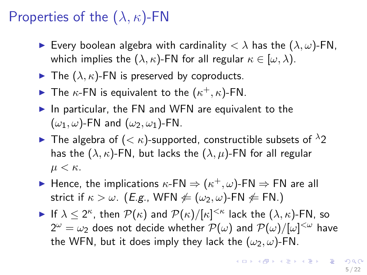# Properties of the  $(\lambda, \kappa)$ -FN

- Every boolean algebra with cardinality  $\langle \lambda \rangle$  has the  $(\lambda, \omega)$ -FN, which implies the  $(\lambda, \kappa)$ -FN for all regular  $\kappa \in [\omega, \lambda)$ .
- $\blacktriangleright$  The  $(\lambda, \kappa)$ -FN is preserved by coproducts.
- The  $\kappa$ -FN is equivalent to the  $(\kappa^+, \kappa)$ -FN.
- In particular, the FN and WFN are equivalent to the  $(\omega_1, \omega)$ -FN and  $(\omega_2, \omega_1)$ -FN.
- **If** The algebra of  $( $\kappa$ )-supported, constructible subsets of  $\lambda$ 2$ has the  $(\lambda, \kappa)$ -FN, but lacks the  $(\lambda, \mu)$ -FN for all regular  $\mu < \kappa$ .
- ► Hence, the implications  $\kappa$ -FN  $\Rightarrow$   $(\kappa^+, \omega)$ -FN  $\Rightarrow$  FN are all strict if  $\kappa > \omega$ . (*E.g.*, WFN  $\notin (\omega_2, \omega)$ -FN  $\notin$  FN.)
- If  $\lambda \leq 2^{\kappa}$ , then  $\mathcal{P}(\kappa)$  and  $\mathcal{P}(\kappa)/[\kappa]^{<\kappa}$  lack the  $(\lambda, \kappa)$ -FN, so  $2^\omega = \omega_2$  does not decide whether  ${\cal P}(\omega)$  and  ${\cal P}(\omega) / [\omega]^{<\omega}$  have the WFN, but it does imply they lack the  $(\omega_2, \omega)$ -FN.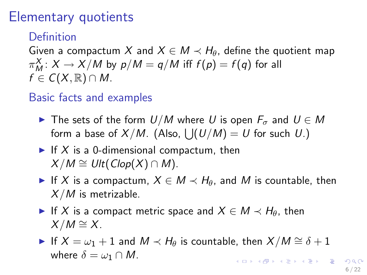## Elementary quotients

### Definition

Given a compactum X and  $X \in M \prec H_\theta$ , define the quotient map  $\pi^X_M\colon X\to X/M$  by  $p/M=q/M$  iff  $f(p)=f(q)$  for all  $f \in C(X,\mathbb{R}) \cap M$ .

#### Basic facts and examples

- **►** The sets of the form  $U/M$  where U is open  $F_{\sigma}$  and  $U \in M$ form a base of  $X/M$ . (Also,  $\bigcup (U/M) = U$  for such  $U$ .)
- If X is a 0-dimensional compactum, then  $X/M \cong Ult(Clop(X) \cap M)$ .
- If X is a compactum,  $X \in M \prec H_\theta$ , and M is countable, then  $X/M$  is metrizable.
- If X is a compact metric space and  $X \in M \prec H_{\theta}$ , then  $X/M \cong X$ .
- If  $X = \omega_1 + 1$  and  $M \prec H_\theta$  is countable, then  $X/M \cong \delta + 1$ where  $\delta = \omega_1 \cap M$ . **KORK SERVER EL PORO**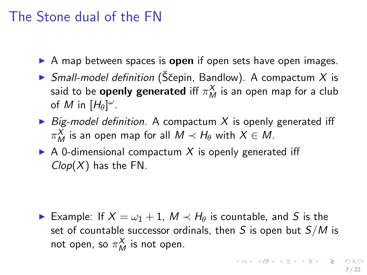## The Stone dual of the FN

- $\triangleright$  A map between spaces is open if open sets have open images.
- $\triangleright$  Small-model definition (Ščepin, Bandlow). A compactum X is said to be **openly generated** iff  $\pi_M^{\mathbf{X}}$  is an open map for a club of M in  $[H_\theta]^\omega$ .
- $\triangleright$  Big-model definition. A compactum X is openly generated iff  $\pi^X_M$  is an open map for all  $M \prec H_\theta$  with  $X \in M.$
- $\triangleright$  A 0-dimensional compactum X is openly generated iff  $Clop(X)$  has the FN.

► Example: If  $X = \omega_1 + 1$ ,  $M \prec H_\theta$  is countable, and S is the set of countable successor ordinals, then S is open but  $S/M$  is not open, so  $\pi_M^X$  is not open.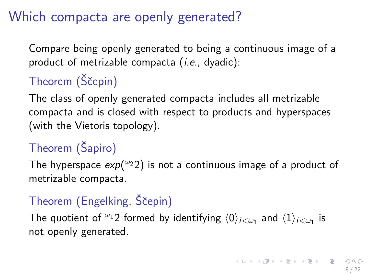# Which compacta are openly generated?

Compare being openly generated to being a continuous image of a product of metrizable compacta  $(i.e., dyadic)$ :

# Theorem (Ščepin)

The class of openly generated compacta includes all metrizable compacta and is closed with respect to products and hyperspaces (with the Vietoris topology).

# Theorem (Šapiro)

The hyperspace  $exp(\omega 22)$  is not a continuous image of a product of metrizable compacta.

# Theorem (Engelking, Ščepin)

The quotient of  ${}^{\omega_1}2$  formed by identifying  $\langle 0 \rangle_{i<\omega_1}$  and  $\langle 1 \rangle_{i<\omega_1}$  is not openly generated.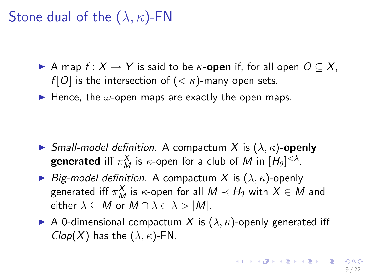Stone dual of the  $(\lambda, \kappa)$ -FN

- A map  $f: X \to Y$  is said to be  $\kappa$ -open if, for all open  $O \subseteq X$ , f [O] is the intersection of  $( $\kappa$ )-many open sets.$
- $\blacktriangleright$  Hence, the  $\omega$ -open maps are exactly the open maps.

- **In Small-model definition.** A compactum X is  $(\lambda, \kappa)$ -openly **generated** iff  $\pi^X_M$  is  $\kappa$ -open for a club of  $M$  in  $[H_\theta]^{<\lambda}$ .
- $\triangleright$  Big-model definition. A compactum X is  $(\lambda, \kappa)$ -openly generated iff  $\pi_M^X$  is  $\kappa$ -open for all  $M\prec H_\theta$  with  $X\in M$  and either  $\lambda \subseteq M$  or  $M \cap \lambda \in \lambda > |M|$ .
- A 0-dimensional compactum X is  $(\lambda, \kappa)$ -openly generated iff  $Clop(X)$  has the  $(\lambda, \kappa)$ -FN.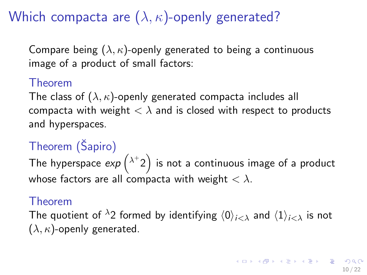# Which compacta are  $(\lambda, \kappa)$ -openly generated?

Compare being  $(\lambda, \kappa)$ -openly generated to being a continuous image of a product of small factors:

#### Theorem

The class of  $(\lambda, \kappa)$ -openly generated compacta includes all compacta with weight  $\langle \lambda \rangle$  and is closed with respect to products and hyperspaces.

# Theorem (Šapiro)

The hyperspace  $\exp\left(\lambda^+2\right)$  is not a continuous image of a product whose factors are all compacta with weight  $< \lambda$ .

#### Theorem

The quotient of  $\lambda_2$  formed by identifying  $\langle 0 \rangle_{i \leq \lambda}$  and  $\langle 1 \rangle_{i \leq \lambda}$  is not  $(\lambda, \kappa)$ -openly generated.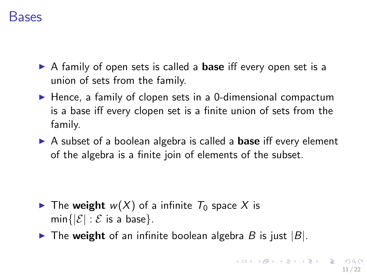### Bases

- $\triangleright$  A family of open sets is called a **base** iff every open set is a union of sets from the family.
- $\blacktriangleright$  Hence, a family of clopen sets in a 0-dimensional compactum is a base iff every clopen set is a finite union of sets from the family.
- $\triangleright$  A subset of a boolean algebra is called a **base** iff every element of the algebra is a finite join of elements of the subset.

- The weight  $w(X)$  of a infinite  $T_0$  space X is  $min\{|\mathcal{E}| : \mathcal{E}$  is a base}.
- $\triangleright$  The weight of an infinite boolean algebra B is just  $|B|$ .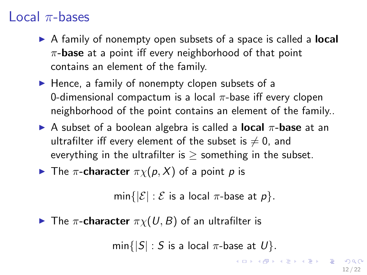## Local  $\pi$ -bases

- $\triangleright$  A family of nonempty open subsets of a space is called a **local**  $\pi$ -base at a point iff every neighborhood of that point contains an element of the family.
- $\blacktriangleright$  Hence, a family of nonempty clopen subsets of a 0-dimensional compactum is a local  $\pi$ -base iff every clopen neighborhood of the point contains an element of the family..
- A subset of a boolean algebra is called a **local**  $\pi$ -**base** at an ultrafilter iff every element of the subset is  $\neq 0$ , and everything in the ultrafilter is  $\ge$  something in the subset.

The 
$$
\pi
$$
-character  $\pi \chi(p, X)$  of a point  $p$  is

$$
\min\{|\mathcal{E}|:\mathcal{E}\text{ is a local }\pi\text{-base at }p\}.
$$

 $\blacktriangleright$  The  $\pi$ -character  $\pi \chi(U, B)$  of an ultrafilter is

 $min{ |S| : S$  is a local  $\pi$ -base at  $U$ .

<span id="page-14-0"></span>K ロ ▶ K @ ▶ K 할 > K 할 > → 할 → ⊙ Q ⊙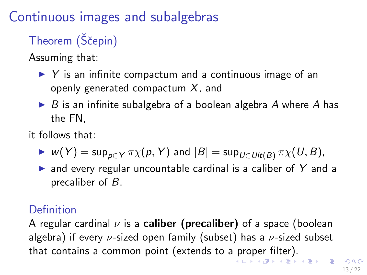# Continuous images and subalgebras

# Theorem (Ščepin)

Assuming that:

- $\triangleright$  Y is an infinite compactum and a continuous image of an openly generated compactum  $X$ , and
- $\triangleright$  B is an infinite subalgebra of a boolean algebra A where A has the FN,
- it follows that:
	- $\triangleright$  w(Y) = sup<sub>p∈Y</sub>  $\pi \chi(p, Y)$  and  $|B|$  = sup<sub>U∈Ult(B)</sub>  $\pi \chi(U, B)$ ,
	- $\triangleright$  and every regular uncountable cardinal is a caliber of Y and a precaliber of B.

### Definition

<span id="page-15-0"></span>A regular cardinal  $\nu$  is a **caliber (precaliber)** of a space (boolean algebra) if every  $\nu$ -sized open family (subset) has a  $\nu$ -sized subset that contains a common [p](#page-14-0)oint (extends to a pr[op](#page-16-0)[e](#page-14-0)[r](#page-15-0) [fil](#page-16-0)[te](#page-0-0)[r\).](#page-31-0)<br>All the second set of the second set of the second set of the second set of the second set of the second set of the set of the second set of the set of the set of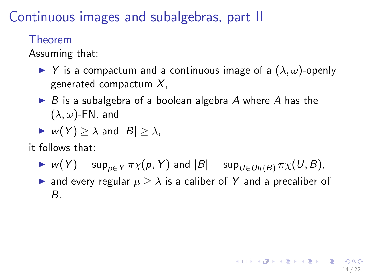Continuous images and subalgebras, part II

Theorem

Assuming that:

- $\blacktriangleright$  Y is a compactum and a continuous image of a  $(\lambda, \omega)$ -openly generated compactum  $X$ .
- $\triangleright$  B is a subalgebra of a boolean algebra A where A has the  $(\lambda, \omega)$ -FN, and
- <span id="page-16-0"></span> $\blacktriangleright$  w(Y)  $>\lambda$  and  $|B|>\lambda$ ,
- it follows that:
	- $\triangleright$  w(Y) = sup<sub>pEY</sub>  $\pi \chi(p, Y)$  and  $|B|$  = sup<sub>UEUt(B)</sub>  $\pi \chi(U, B)$ ,
	- $\triangleright$  and every regular  $\mu \geq \lambda$  is a caliber of Y and a precaliber of B.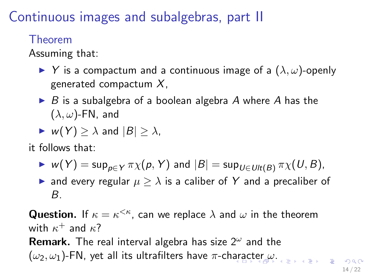Continuous images and subalgebras, part II

Theorem

Assuming that:

- $\blacktriangleright$  Y is a compactum and a continuous image of a  $(\lambda, \omega)$ -openly generated compactum  $X$ ,
- $\triangleright$  B is a subalgebra of a boolean algebra A where A has the  $(\lambda, \omega)$ -FN, and
- $\blacktriangleright$  w(Y)  $>\lambda$  and  $|B|>\lambda$ ,

it follows that:

- $\triangleright$  w(Y) = sup<sub>p∈Y</sub>  $\pi \chi(p, Y)$  and  $|B|$  = sup<sub>U∈Ult(B)</sub>  $\pi \chi(U, B)$ ,
- $\triangleright$  and every regular  $\mu \geq \lambda$  is a caliber of Y and a precaliber of B.

**Question.** If  $\kappa = \kappa^{\leq \kappa}$ , can we replace  $\lambda$  and  $\omega$  in the theorem with  $\kappa^+$  and  $\kappa$ ? Remark. The real interval algebra has size  $2^{\omega}$  and the  $(\omega_2, \omega_1)$  $(\omega_2, \omega_1)$  $(\omega_2, \omega_1)$ -FN, yet all its ult[r](#page-16-0)afilters have  $\pi$ -ch[ara](#page-16-0)[ct](#page-18-0)er  $\omega$ [.](#page-0-0)

<span id="page-17-0"></span>14 / 22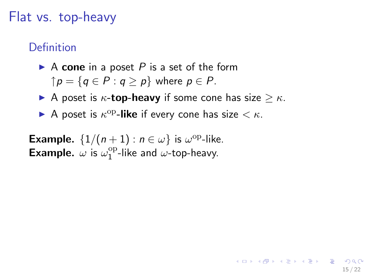### Flat vs. top-heavy

#### Definition

- A cone in a poset P is a set of the form  $\uparrow p = \{q \in P : q > p\}$  where  $p \in P$ .
- A poset is  $\kappa$ -top-heavy if some cone has size  $\geq \kappa$ .

<span id="page-18-0"></span>15 / 22

K ロ ▶ K @ ▶ K 할 > K 할 > → 할 → ⊙ Q ⊙

A poset is  $\kappa^{\rm op}$ -like if every cone has size  $< \kappa$ .

**Example.**  $\{1/(n+1) : n \in \omega\}$  is  $\omega^{\text{op}}$ -like. **Example.**  $\omega$  is  $\omega_1^{\text{op}}$  $1^{\text{op}}$ -like and  $\omega$ -top-heavy.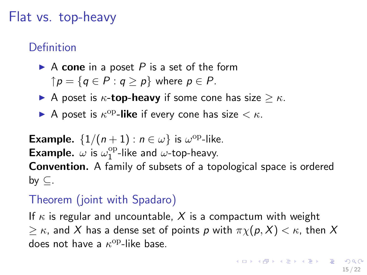## Flat vs. top-heavy

#### Definition

- A cone in a poset P is a set of the form  $\uparrow p = \{q \in P : q > p\}$  where  $p \in P$ .
- A poset is  $\kappa$ -top-heavy if some cone has size  $\geq \kappa$ .
- A poset is  $\kappa^{\rm op}$ -like if every cone has size  $< \kappa$ .

**Example.**  $\{1/(n+1) : n \in \omega\}$  is  $\omega^{\text{op}}$ -like. **Example.**  $\omega$  is  $\omega_1^{\text{op}}$  $1^{\text{op}}$ -like and  $\omega$ -top-heavy. Convention. A family of subsets of a topological space is ordered by  $\subset$ .

### Theorem (joint with Spadaro)

If  $\kappa$  is regular and uncountable, X is a compactum with weight  $\geq \kappa$ , and X has a dense set of points p with  $\pi \chi(p, X) < \kappa$ , then X does not have a  $\kappa^{\rm op}\text{-like}$  base.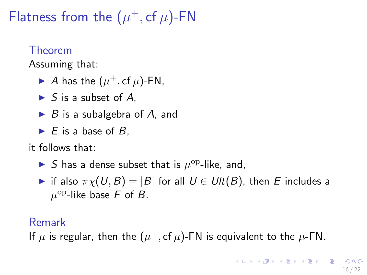Flatness from the  $(\mu^+, c f \mu)$ -FN

#### Theorem

Assuming that:

- A has the  $(\mu^+, c f \mu)$ -FN,
- $\blacktriangleright$  S is a subset of A.
- $\triangleright$  B is a subalgebra of A, and
- $\blacktriangleright$  E is a base of B,

#### it follows that:

- S has a dense subset that is  $\mu^{\rm op}\text{-like}$ , and,
- if also  $\pi \chi(U, B) = |B|$  for all  $U \in \text{Ult}(B)$ , then E includes a  $\mu^{\rm op}$ -like base F of B.

#### Remark

If  $\mu$  is regular, then the  $(\mu^+, \text{cf }\mu)$ -FN is equivalent to the  $\mu$ -FN.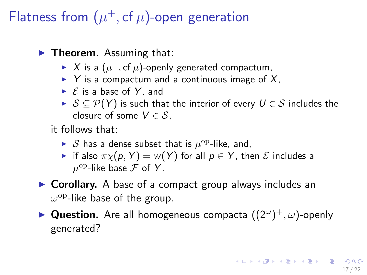# Flatness from  $(\mu^+, c f \mu)$ -open generation

 $\blacktriangleright$  Theorem. Assuming that:

- $\blacktriangleright$   $X$  is a  $(\mu^+, \mathsf{cf}\, \mu)$ -openly generated compactum,
- $\triangleright$  Y is a compactum and a continuous image of X,
- $\triangleright$   $\mathcal E$  is a base of Y, and
- $S \subseteq \mathcal{P}(Y)$  is such that the interior of every  $U \in \mathcal{S}$  includes the closure of some  $V \in S$ .

it follows that:

- $\triangleright$  S has a dense subset that is  $\mu^{\rm op}\text{-like}$ , and,
- if also  $\pi \chi(p, Y) = w(Y)$  for all  $p \in Y$ , then  $\mathcal E$  includes a  $\mu^{\mathrm{op}}$ -like base  ${\mathcal F}$  of  $Y$ .
- $\triangleright$  Corollary. A base of a compact group always includes an  $\omega^{\rm op}$ -like base of the group.
- ► Question. Are all homogeneous compacta  $((2^{\omega})^{+}, \omega)$ -openly generated?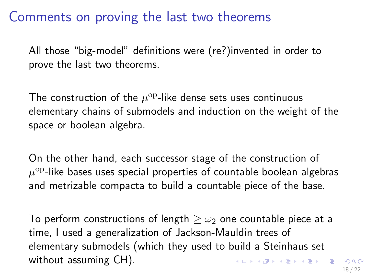## Comments on proving the last two theorems

All those "big-model" definitions were (re?)invented in order to prove the last two theorems.

The construction of the  $\mu^{\rm op}\text{-}$ like dense sets uses continuous elementary chains of submodels and induction on the weight of the space or boolean algebra.

On the other hand, each successor stage of the construction of  $\mu^{\rm op}$ -like bases uses special properties of countable boolean algebras and metrizable compacta to build a countable piece of the base.

To perform constructions of length  $>$   $\omega_2$  one countable piece at a time, I used a generalization of Jackson-Mauldin trees of elementary submodels (which they used to build a Steinhaus set without assuming CH). K ロ X K @ X K 할 X K 할 X ( 할 )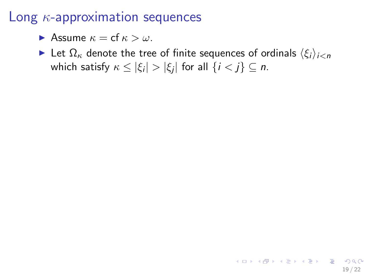**Assume**  $\kappa = cf \kappa > \omega$ .

Exect  $\Omega_{\kappa}$  denote the tree of finite sequences of ordinals  $\langle \xi_i \rangle_{i \le n}$ which satisfy  $\kappa \leq |\xi_i| > |\xi_j|$  for all  $\{i < j\} \subseteq n$ .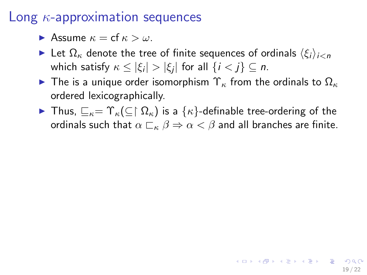**Assume**  $\kappa = \text{cf } \kappa > \omega$ .

- Exect  $\Omega_{\kappa}$  denote the tree of finite sequences of ordinals  $\langle \xi_i \rangle_{i \le n}$ which satisfy  $\kappa \leq |\xi_i| > |\xi_j|$  for all  $\{i < j\} \subseteq n$ .
- **I** The is a unique order isomorphism  $\Upsilon_{\kappa}$  from the ordinals to  $\Omega_{\kappa}$ ordered lexicographically.
- $\triangleright$  Thus,  $\sqsubseteq_{\kappa} = \Upsilon_{\kappa}(\subseteq \restriction \Omega_{\kappa})$  is a { $\kappa$ }-definable tree-ordering of the ordinals such that  $\alpha \sqsubset_{\kappa} \beta \Rightarrow \alpha < \beta$  and all branches are finite.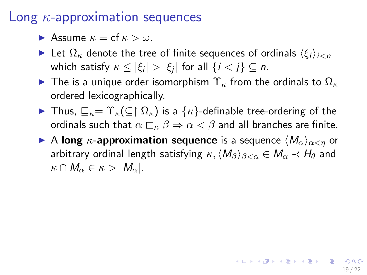**Assume**  $\kappa = \text{cf } \kappa > \omega$ .

- Exect Let  $\Omega_{\kappa}$  denote the tree of finite sequences of ordinals  $\langle \xi_i \rangle_{i \leq n}$ which satisfy  $\kappa \leq |\xi_i| > |\xi_j|$  for all  $\{i < j\} \subseteq n$ .
- **I** The is a unique order isomorphism  $\Upsilon_{\kappa}$  from the ordinals to  $\Omega_{\kappa}$ ordered lexicographically.
- $\triangleright$  Thus,  $\sqsubseteq_{\kappa} = \Upsilon_{\kappa}(\subseteq \restriction \Omega_{\kappa})$  is a { $\kappa$ }-definable tree-ordering of the ordinals such that  $\alpha \sqsubset_{\kappa} \beta \Rightarrow \alpha < \beta$  and all branches are finite.
- A long  $\kappa$ -approximation sequence is a sequence  $\langle M_{\alpha}\rangle_{\alpha<\eta}$  or arbitrary ordinal length satisfying  $\kappa, \langle M_\beta \rangle_{\beta < \alpha} \in M_\alpha \prec H_\theta$  and  $\kappa \cap M_{\alpha} \in \kappa > |M_{\alpha}|.$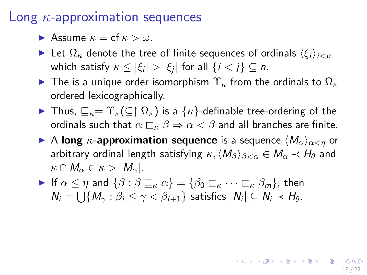**Assume**  $\kappa = \text{cf } \kappa > \omega$ .

- Exect Let  $\Omega_{\kappa}$  denote the tree of finite sequences of ordinals  $\langle \xi_i \rangle_{i \leq n}$ which satisfy  $\kappa \leq |\xi_i| > |\xi_j|$  for all  $\{i < j\} \subseteq n$ .
- **I** The is a unique order isomorphism  $\Upsilon_{\kappa}$  from the ordinals to  $\Omega_{\kappa}$ ordered lexicographically.
- $\triangleright$  Thus,  $\sqsubseteq_{\kappa} = \Upsilon_{\kappa}(\subseteq \restriction \Omega_{\kappa})$  is a { $\kappa$ }-definable tree-ordering of the ordinals such that  $\alpha \sqsubset_{\kappa} \beta \Rightarrow \alpha < \beta$  and all branches are finite.
- A long  $\kappa$ -approximation sequence is a sequence  $\langle M_{\alpha}\rangle_{\alpha<\eta}$  or arbitrary ordinal length satisfying  $\kappa, \langle M_\beta \rangle_{\beta < \alpha} \in M_\alpha \prec H_\theta$  and  $\kappa \cap M_{\alpha} \in \kappa > |M_{\alpha}|.$

19 / 22

**KORK EX KEY A BY A GAA** 

If  $\alpha \leq \eta$  and  $\{\beta : \beta \sqsubseteq_{\kappa} \alpha\} = \{\beta_0 \sqsubset_{\kappa} \cdots \sqsubset_{\kappa} \beta_m\}$ , then  $N_i = \bigcup \{M_\gamma : \beta_i \leq \gamma < \beta_{i+1}\}$  satisfies  $|N_i| \subseteq N_i \prec H_\theta$ .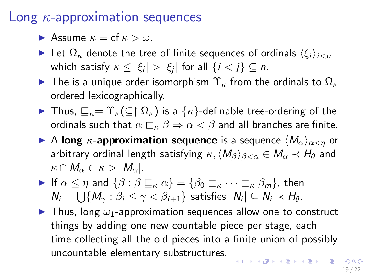**Assume**  $\kappa = \text{cf } \kappa > \omega$ .

- Exect Let  $\Omega_{\kappa}$  denote the tree of finite sequences of ordinals  $\langle \xi_i \rangle_{i \leq n}$ which satisfy  $\kappa \leq |\xi_i| > |\xi_j|$  for all  $\{i < j\} \subseteq n$ .
- **I** The is a unique order isomorphism  $\Upsilon_{\kappa}$  from the ordinals to  $\Omega_{\kappa}$ ordered lexicographically.
- $\triangleright$  Thus,  $\sqsubseteq_{\kappa} = \Upsilon_{\kappa}(\subseteq \restriction \Omega_{\kappa})$  is a { $\kappa$ }-definable tree-ordering of the ordinals such that  $\alpha \sqsubset_{\kappa} \beta \Rightarrow \alpha < \beta$  and all branches are finite.
- A long  $\kappa$ -approximation sequence is a sequence  $\langle M_{\alpha}\rangle_{\alpha<\eta}$  or arbitrary ordinal length satisfying  $\kappa, \langle M_\beta \rangle_{\beta < \alpha} \in M_\alpha \prec H_\theta$  and  $\kappa \cap M_{\alpha} \in \kappa > |M_{\alpha}|.$
- If  $\alpha \leq \eta$  and  $\{\beta : \beta \sqsubseteq_{\kappa} \alpha\} = \{\beta_0 \sqsubset_{\kappa} \cdots \sqsubset_{\kappa} \beta_m\}$ , then  $N_i = \bigcup \{M_\gamma : \beta_i \leq \gamma < \beta_{i+1}\}$  satisfies  $|N_i| \subseteq N_i \prec H_\theta$ .
- $\blacktriangleright$  Thus, long  $\omega_1$ -approximation sequences allow one to construct things by adding one new countable piece per stage, each time collecting all the old pieces into a finite union of possibly uncountable elementary substructures. **KORKAR KERKER STAGG**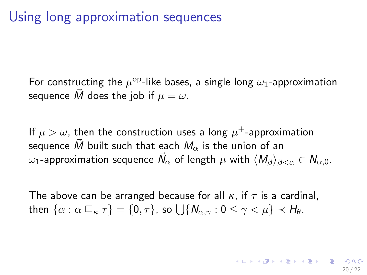# Using long approximation sequences

For constructing the  $\mu^{\rm op}$ -like bases, a single long  $\omega_1$ -approximation sequence M does the job if  $\mu = \omega$ .

If  $\mu > \omega$ , then the construction uses a long  $\mu^+$ -approximation sequence M built such that each  $M_{\alpha}$  is the union of an  $\omega_1$ -approximation sequence  $\vec{N}_{\alpha}$  of length  $\mu$  with  $\langle M_{\beta}\rangle_{\beta<\alpha}\in N_{\alpha,0}.$ 

<span id="page-28-0"></span>The above can be arranged because for all  $\kappa$ , if  $\tau$  is a cardinal, then  $\{\alpha:\alpha\sqsubseteq_\kappa \tau\}=\{0,\tau\}$ , so  $\bigcup\{N_{\alpha,\gamma}:0\leq\gamma<\mu\}\prec H_\theta.$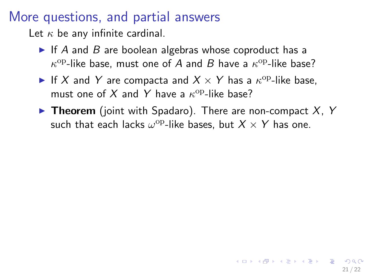## More questions, and partial answers

Let  $\kappa$  be any infinite cardinal.

- If A and B are boolean algebras whose coproduct has a  $\kappa^{\rm op}\text{-like}$  base, must one of A and B have a  $\kappa^{\rm op}\text{-like}$  base?
- If X and Y are compacta and  $X \times Y$  has a  $\kappa^{\rm op}$ -like base, must one of X and Y have a  $\kappa^{\mathrm{op}}$ -like base?
- **Theorem** (joint with Spadaro). There are non-compact  $X$ , Y such that each lacks  $\omega^{\rm op}\text{-like}$  bases, but  $X\times Y$  has one.

<span id="page-29-0"></span>21 / 22

**KORK EX KEY A BY A GAA**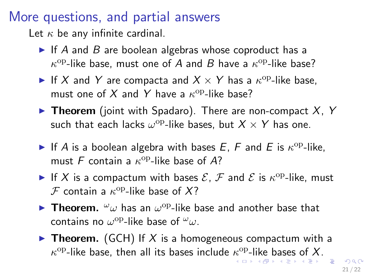## More questions, and partial answers

Let  $\kappa$  be any infinite cardinal.

- If A and B are boolean algebras whose coproduct has a  $\kappa^{\rm op}\text{-like}$  base, must one of A and B have a  $\kappa^{\rm op}\text{-like}$  base?
- If X and Y are compacta and  $X \times Y$  has a  $\kappa^{\rm op}$ -like base, must one of X and Y have a  $\kappa^{\mathrm{op}}$ -like base?
- **Theorem** (joint with Spadaro). There are non-compact  $X$ , Y such that each lacks  $\omega^{\rm op}\text{-like}$  bases, but  $X\times Y$  has one.
- If A is a boolean algebra with bases E, F and E is  $\kappa^{\rm op}\text{-like}$ , must F contain a  $\kappa^{\rm op}$ -like base of A?
- If X is a compactum with bases  $\mathcal{E}, \mathcal{F}$  and  $\mathcal{E}$  is  $\kappa^{\text{op}}$ -like, must  $\mathcal F$  contain a  $\kappa^{\mathrm{op}}$ -like base of  $X$ ?
- **Theorem.**  $\omega_{\omega}$  has an  $\omega^{\rm op}$ -like base and another base that contains no  $\omega^{\rm op}\text{-}$ like base of  ${}^\omega\omega.$
- <span id="page-30-0"></span>**Figure Theorem.** (GCH) If X is a homogeneous compactum with a  $\kappa^{\rm op}\text{-}$  $\kappa^{\rm op}\text{-}$  $\kappa^{\rm op}\text{-}$ l[ik](#page-28-0)e [b](#page-31-0)[as](#page-0-0)e, then all its bas[es](#page-31-0) include  $\kappa^{\rm op}\text{-}$ like bases [of](#page-0-0) [X](#page-31-0)[.](#page-0-0)